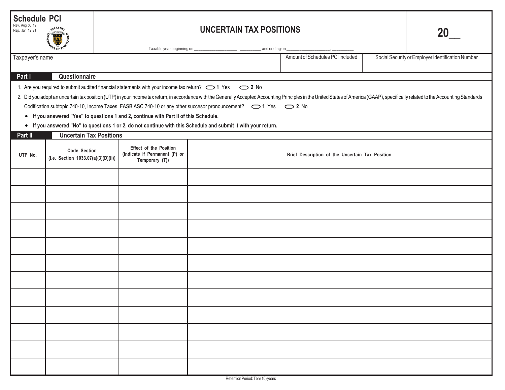| <b>Schedule PCI</b><br>Rev. Aug 30 19<br>Rep. Jan 12 21<br><b>AREASUA</b>                                                                                                                                                                                                                                                                                                                                                                                                                                                                                                                                                                                                                                  |                                                            |  |                                                                                  |                |                                                 |  |                                                   |
|------------------------------------------------------------------------------------------------------------------------------------------------------------------------------------------------------------------------------------------------------------------------------------------------------------------------------------------------------------------------------------------------------------------------------------------------------------------------------------------------------------------------------------------------------------------------------------------------------------------------------------------------------------------------------------------------------------|------------------------------------------------------------|--|----------------------------------------------------------------------------------|----------------|-------------------------------------------------|--|---------------------------------------------------|
| Taxable year beginning on _<br>Taxpayer's name                                                                                                                                                                                                                                                                                                                                                                                                                                                                                                                                                                                                                                                             |                                                            |  |                                                                                  | _and ending on | Amount of Schedules PCI included                |  | Social Security or Employer Identification Number |
| Part I<br>Questionnaire                                                                                                                                                                                                                                                                                                                                                                                                                                                                                                                                                                                                                                                                                    |                                                            |  |                                                                                  |                |                                                 |  |                                                   |
| 1. Are you required to submit audited financial statements with your income tax return? $\bigcirc$ 1 Yes $\bigcirc$ 2 No<br>2. Did you adopt an uncertain tax position (UTP) in your income tax return, in accordance with the Generally Accepted Accounting Principles in the United States of America (GAAP), specifically related to the Accounting Sta<br>Codification subtopic 740-10, Income Taxes, FASB ASC 740-10 or any other succesor pronouncement? $\bigcirc$ 1 Yes $\bigcirc$ 2 No<br>• If you answered "Yes" to questions 1 and 2, continue with Part II of this Schedule.<br>• If you answered "No" to questions 1 or 2, do not continue with this Schedule and submit it with your return. |                                                            |  |                                                                                  |                |                                                 |  |                                                   |
| Part II<br><b>Uncertain Tax Positions</b>                                                                                                                                                                                                                                                                                                                                                                                                                                                                                                                                                                                                                                                                  |                                                            |  |                                                                                  |                |                                                 |  |                                                   |
| UTP No.                                                                                                                                                                                                                                                                                                                                                                                                                                                                                                                                                                                                                                                                                                    | <b>Code Section</b><br>(i.e. Section 1033.07(a)(3)(D)(ii)) |  | <b>Effect of the Position</b><br>(Indicate if Permanent (P) or<br>Temporary (T)) |                | Brief Description of the Uncertain Tax Position |  |                                                   |
|                                                                                                                                                                                                                                                                                                                                                                                                                                                                                                                                                                                                                                                                                                            |                                                            |  |                                                                                  |                |                                                 |  |                                                   |
|                                                                                                                                                                                                                                                                                                                                                                                                                                                                                                                                                                                                                                                                                                            |                                                            |  |                                                                                  |                |                                                 |  |                                                   |
|                                                                                                                                                                                                                                                                                                                                                                                                                                                                                                                                                                                                                                                                                                            |                                                            |  |                                                                                  |                |                                                 |  |                                                   |
|                                                                                                                                                                                                                                                                                                                                                                                                                                                                                                                                                                                                                                                                                                            |                                                            |  |                                                                                  |                |                                                 |  |                                                   |
|                                                                                                                                                                                                                                                                                                                                                                                                                                                                                                                                                                                                                                                                                                            |                                                            |  |                                                                                  |                |                                                 |  |                                                   |
|                                                                                                                                                                                                                                                                                                                                                                                                                                                                                                                                                                                                                                                                                                            |                                                            |  |                                                                                  |                |                                                 |  |                                                   |
|                                                                                                                                                                                                                                                                                                                                                                                                                                                                                                                                                                                                                                                                                                            |                                                            |  |                                                                                  |                |                                                 |  |                                                   |
|                                                                                                                                                                                                                                                                                                                                                                                                                                                                                                                                                                                                                                                                                                            |                                                            |  |                                                                                  |                |                                                 |  |                                                   |
|                                                                                                                                                                                                                                                                                                                                                                                                                                                                                                                                                                                                                                                                                                            |                                                            |  |                                                                                  |                |                                                 |  |                                                   |
|                                                                                                                                                                                                                                                                                                                                                                                                                                                                                                                                                                                                                                                                                                            |                                                            |  |                                                                                  |                |                                                 |  |                                                   |
|                                                                                                                                                                                                                                                                                                                                                                                                                                                                                                                                                                                                                                                                                                            |                                                            |  |                                                                                  |                |                                                 |  |                                                   |
|                                                                                                                                                                                                                                                                                                                                                                                                                                                                                                                                                                                                                                                                                                            |                                                            |  |                                                                                  |                |                                                 |  |                                                   |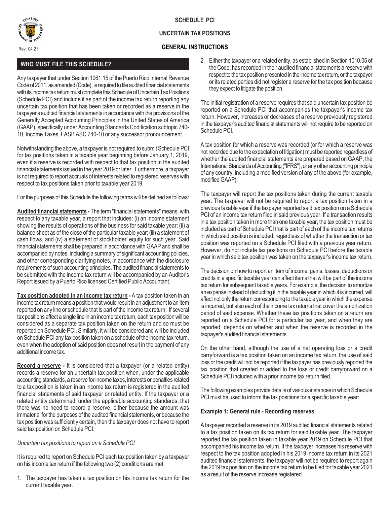

# **REASURE**

## **UNCERTAIN TAX POSITIONS**

### Rev. 04.21 **GENERAL INSTRUCTIONS**

# **WHO MUST FILE THIS SCHEDULE?**

Any taxpayer that under Section 1061.15 of the Puerto Rico Internal Revenue Code of 2011, as amended (Code), is required to file audited financial statements with its income tax return must complete this Schedule of Uncertain Tax Positions (Schedule PCI) and include it as part of the income tax return reporting any uncertain tax position that has been taken or recorded as a reserve in the taxpayer's audited financial statements in accordance with the provisions of the Generally Accepted Accounting Principles in the United States of America (GAAP), specifically under Accounting Standards Codification subtopic 740- 10, Income Taxes, FASB ASC 740-10 or any successor pronouncement.

Notwithstanding the above, a taxpayer is not required to submit Schedule PCI for tax positions taken in a taxable year beginning before January 1, 2019, even if a reserve is recorded with respect to that tax position in the audited financial statements issued in the year 2019 or later. Furthermore, a taxpayer is not required to report accruals of interests related to registered reserves with respect to tax positions taken prior to taxable year 2019.

For the purposes of this Schedule the following terms will be defined as follows:

**Audited financial statements -** The term "financial statements" means, with respect to any taxable year, a report that includes: (i) an income statement showing the results of operations of the business for said taxable year; (ii) a balance sheet as of the close of the particular taxable year; (iii) a statement of cash flows, and (iv) a statement of stockholder' equity for such year. Said financial statements shall be prepared in accordance with GAAP and shall be accompanied by notes, including a summary of significant accounting policies, and other corresponding clarifying notes, in accordance with the disclosure requirements of such accounting principles. The audited financial statements to be submitted with the income tax return will be accompanied by an Auditor's Report issued by a Puerto Rico licensed Certified Public Accountant.

**Tax position adopted in an income tax return - A tax position taken in an** income tax return means a position that would result in an adjustment to an item reported on any line or schedule that is part of the income tax return. If several tax positions affect a single line in an income tax return, each tax position will be considered as a separate tax position taken on the return and so must be reported on Schedule PCI. Similarly, it will be considered and will be included on Schedule PCI any tax position taken on a schedule of the income tax return, even when the adoption of said position does not result in the payment of any additional income tax.

**Record a reserve -** It is considered that a taxpayer (or a related entity) records a reserve for an uncertain tax position when, under the applicable accounting standards, a reserve for income taxes, interests or penalties related to a tax position is taken in an income tax return is registered in the audited financial statements of said taxpayer or related entity. If the taxpayer or a related entity determined, under the applicable accounting standards, that there was no need to record a reserve, either because the amount was immaterial for the purposes of the audited financial statements, or because the tax position was sufficiently certain, then the taxpayer does not have to report said tax position on Schedule PCI.

## *Uncertain tax positions to report on a Schedule PCI*

It is required to report on Schedule PCI each tax position taken by a taxpayer on his income tax return if the following two (2) conditions are met:

1. The taxpayer has taken a tax position on his income tax return for the current taxable year.

2. Either the taxpayer or a related entity, as established in Section 1010.05 of the Code, has recorded in their audited financial statements a reserve with respect to the tax position presented in the income tax return, or the taxpayer or its related parties did not register a reserve for the tax position because they expect to litigate the position.

The initial registration of a reserve requires that said uncertain tax position be reported on a Schedule PCI that accompanies the taxpayer's income tax return. However, increases or decreases of a reserve previously registered in the taxpayer's audited financial statements will not require to be reported on Schedule PCI.

A tax position for which a reserve was recorded (or for which a reserve was not recorded due to the expectation of litigation) must be reported regardless of whether the audited financial statements are prepared based on GAAP, the International Standards of Accounting ("IFRS"), or any other accounting principle of any country, including a modified version of any of the above (for example, modified GAAP).

The taxpayer will report the tax positions taken during the current taxable year. The taxpayer will not be required to report a tax position taken in a previous taxable year if the taxpayer reported said tax position on a Schedule PCI of an income tax return filed in said previous year. If a transaction results in a tax position taken in more than one taxable year, the tax position must be included as part of Schedule PCI that is part of each of the income tax returns in which said position is included, regardless of whether the transaction or tax position was reported on a Schedule PCI filed with a previous year return. However, do not include tax positions on Schedule PCI before the taxable year in which said tax position was taken on the taxpayer's income tax return.

The decision on how to report an item of income, gains, losses, deductions or credits in a specific taxable year can affect items that will be part of the income tax return for subsequent taxable years. For example, the decision to amortize an expense instead of deducting it in the taxable year in which it is incurred, will affect not only the return corresponding to the taxable year in which the expense is incurred, but also each of the income tax returns that cover the amortization period of said expense. Whether these tax positions taken on a return are reported on a Schedule PCI for a particular tax year, and when they are reported, depends on whether and when the reserve is recorded in the taxpayer's audited financial statements.

On the other hand, although the use of a net operating loss or a credit carryforward is a tax position taken on an income tax return, the use of said loss or the credit will not be reported if the taxpayer has previously reported the tax position that created or added to the loss or credit carryforward on a Schedule PCI included with a prior income tax return filed.

The following examples provide details of various instances in which Schedule PCI must be used to inform the tax positions for a specific taxable year:

#### **Example 1: General rule - Recording reserves**

A taxpayer recorded a reserve in its 2019 audited financial statements related to a tax position taken on its tax return for said taxable year. The taxpayer reported the tax position taken in taxable year 2019 on Schedule PCI that accompanied his income tax return. If the taxpayer increases his reserve with respect to the tax position adopted in his 2019 income tax return in its 2021 audited financial statements, the taxpayer will not be required to report again the 2019 tax position on the income tax return to be filed for taxable year 2021 as a result of the reserve increase registered.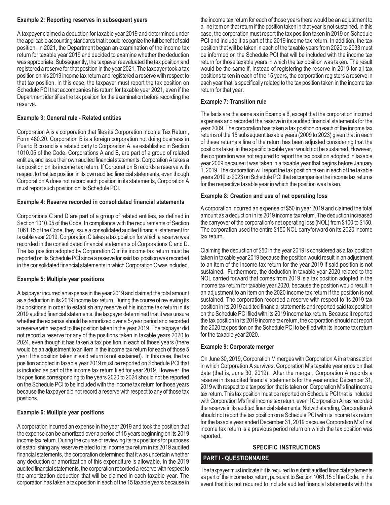#### **Example 2: Reporting reserves in subsequent years**

A taxpayer claimed a deduction for taxable year 2019 and determined under the applicable accounting standards that it could recognize the full benefit of said position. In 2021, the Department began an examination of the income tax return for taxable year 2019 and decided to examine whether the deduction was appropriate. Subsequently, the taxpayer reevaluated the tax position and registered a reserve for that position in the year 2021. The taxpayer took a tax position on his 2019 income tax return and registered a reserve with respect to that tax position. In this case, the taxpayer must report the tax position on Schedule PCI that accompanies his return for taxable year 2021, even if the Department identifies the tax position for the examination before recording the reserve.

#### **Example 3: General rule - Related entities**

Corporation A is a corporation that files its Corporation Income Tax Return, Form 480.20. Corporation B is a foreign corporation not doing business in Puerto Rico and is a related party to Corporation A, as established in Section 1010.05 of the Code. Corporations A and B, are part of a group of related entities, and issue their own audited financial statements. Corporation A takes a tax position on its income tax return. If Corporation B records a reserve with respect to that tax position in its own audited financial statements, even though Corporation A does not record such position in its statements, Corporation A must report such position on its Schedule PCI.

#### **Example 4: Reserve recorded in consolidated financial statements**

Corporations C and D are part of a group of related entities, as defined in Section 1010.05 of the Code. In compliance with the requirements of Section 1061.15 of the Code, they issue a consolidated audited financial statement for taxable year 2019. Corporation C takes a tax position for which a reserve was recorded in the consolidated financial statements of Corporations C and D. The tax position adopted by Corporation C in its income tax return must be reported on its Schedule PCI since a reserve for said tax position was recorded in the consolidated financial statements in which Corporation C was included.

## **Example 5: Multiple year positions**

A taxpayer incurred an expense in the year 2019 and claimed the total amount as a deduction in its 2019 income tax return. During the course of reviewing its tax positions in order to establish any reserve of his income tax return in its 2019 audited financial statements, the taxpayer determined that it was unsure whether the expense should be amortized over a 5-year period and recorded a reserve with respect to the position taken in the year 2019. The taxpayer did not record a reserve for any of the positions taken in taxable years 2020 to 2024, even though it has taken a tax position in each of those years (there would be an adjustment to an item in the income tax return for each of those 5 year if the position taken in said return is not sustained). In this case, the tax position adopted in taxable year 2019 must be reported on Schedule PCI that is included as part of the income tax return filed for year 2019. However, the tax positions corresponding to the years 2020 to 2024 should not be reported on the Schedule PCI to be included with the income tax return for those years because the taxpayer did not record a reserve with respect to any of those tax positions.

## **Example 6: Multiple year positions**

A corporation incurred an expense in the year 2019 and took the position that the expense can be amortized over a period of 15 years beginning on its 2019 income tax return. During the course of reviewing its tax positions for purposes of establishing any reserve related to its income tax return in its 2019 audited financial statements, the corporation determined that it was uncertain whether any deduction or amortization of this expenditure is allowable. In the 2019 audited financial statements, the corporation recorded a reserve with respect to the amortization deduction that will be claimed in each taxable year. The corporation has taken a tax position in each of the 15 taxable years because in

the income tax return for each of those years there would be an adjustment to a line item on that return if the position taken in that year is not sustained. In this case, the corporation must report the tax position taken in 2019 on Schedule PCI and include it as part of the 2019 income tax return. In addition, the tax position that will be taken in each of the taxable years from 2020 to 2033 must be informed on the Schedule PCI that will be included with the income tax return for those taxable years in which the tax position was taken. The result would be the same if, instead of registering the reserve in 2019 for all tax positions taken in each of the 15 years, the corporation registers a reserve in each year that is specifically related to the tax position taken in the income tax return for that year.

#### **Example 7: Transition rule**

The facts are the same as in Example 6, except that the corporation incurred expenses and recorded the reserve in its audited financial statements for the year 2009. The corporation has taken a tax position on each of the income tax returns of the 15 subsequent taxable years (2009 to 2023) given that in each of these returns a line of the return has been adjusted considering that the positions taken in the specific taxable year would not be sustained. However, the corporation was not required to report the tax position adopted in taxable year 2009 because it was taken in a taxable year that begins before January 1, 2019. The corporation will report the tax position taken in each of the taxable years 2019 to 2023 on Schedule PCI that accompanies the income tax returns for the respective taxable year in which the position was taken.

#### **Example 8: Creation and use of net operating loss**

A corporation incurred an expense of \$50 in year 2019 and claimed the total amount as a deduction in its 2019 income tax return. The deduction increased the carryover of the corporation's net operating loss (NOL) from \$100 to \$150. The corporation used the entire \$150 NOL carryforward on its 2020 income tax return.

Claiming the deduction of \$50 in the year 2019 is considered as a tax position taken in taxable year 2019 because the position would result in an adjustment to an item of the income tax return for the year 2019 if said position is not sustained. Furthermore, the deduction in taxable year 2020 related to the NOL carried forward that comes from 2019 is a tax position adopted in the income tax return for taxable year 2020, because the position would result in an adjustment to an item on the 2020 income tax return if the position is not sustained. The corporation recorded a reserve with respect to its 2019 tax position in its 2019 audited financial statements and reported said tax position on the Schedule PCI filed with its 2019 income tax return. Because it reported the tax position in its 2019 income tax return, the corporation should not report the 2020 tax position on the Schedule PCI to be filed with its income tax return for the taxable year 2020.

#### **Example 9: Corporate merger**

On June 30, 2019, Corporation M merges with Corporation A in a transaction in which Corporation A survives. Corporation M's taxable year ends on that date (that is, June 30, 2019). After the merger, Corporation A records a reserve in its audited financial statements for the year ended December 31, 2019 with respect to a tax position that is taken on Corporation M's final income tax return. This tax position must be reported on Schedule PCI that is included with Corporation M's final income tax return, even if Corporation A has recorded the reserve in its audited financial statements. Notwithstanding, Corporation A should not report the tax position on a Schedule PCI with its income tax return for the taxable year ended December 31, 2019 because Corporation M's final income tax return is a previous period return on which the tax position was reported.

# **SPECIFIC INSTRUCTIONS**

## **PART I - QUESTIONNAIRE**

The taxpayer must indicate if it is required to submit audited financial statements as part of the income tax return, pursuant to Section 1061.15 of the Code. In the event that it is not required to include audited financial statements with the